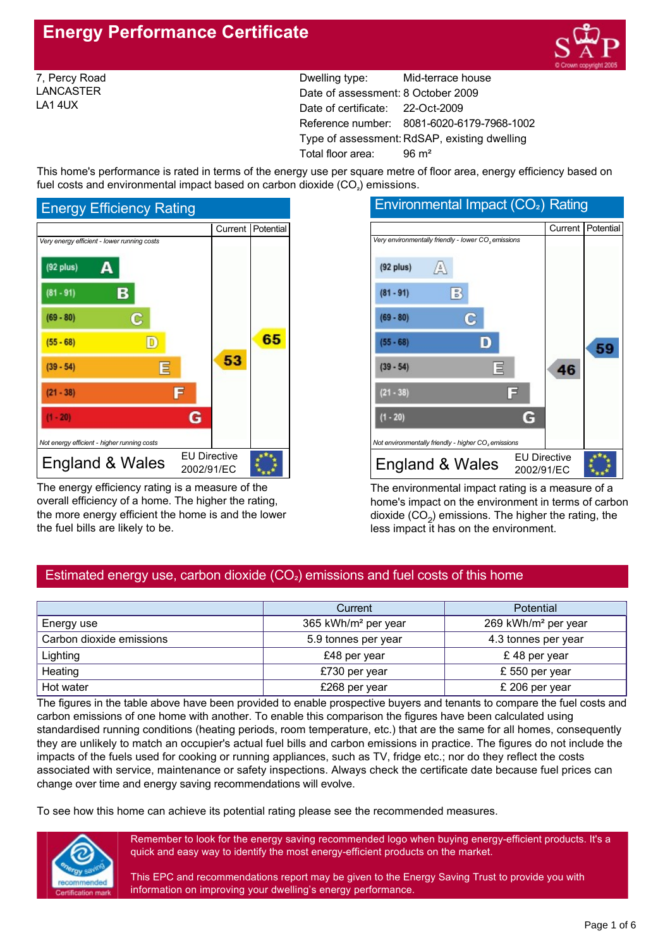# **Energy Performance Certificate**



7, Percy Road LANCASTER LA1 4UX

Dwelling type: Mid-terrace house Date of assessment: 8 October 2009 Date of certificate: 22-Oct-2009 Reference number: 8081-6020-6179-7968-1002 Type of assessment: RdSAP, existing dwelling Total floor area: 96 m<sup>2</sup>

This home's performance is rated in terms of the energy use per square metre of floor area, energy efficiency based on fuel costs and environmental impact based on carbon dioxide  $(CO<sub>2</sub>)$  emissions.



The energy efficiency rating is a measure of the overall efficiency of a home. The higher the rating, the more energy efficient the home is and the lower the fuel bills are likely to be.

### Current | Potential *Very environmentally friendly lower CO<sup>²</sup> emissions*  $(92$  plus) A B.  $(81 - 91)$  $(69 - 80)$ C  $(55 - 68)$ ה 59  $\equiv$  $(39 - 54)$ 46 Ξ  $(21 - 38)$  $(1 - 20)$ G *Not environmentally friendly higher CO<sup>²</sup> emissions* England & Wales  $\frac{EU \text{ Directive}}{2002/01/E}$ 2002/91/EC

The environmental impact rating is a measure of a home's impact on the environment in terms of carbon dioxide  $(CO<sub>2</sub>)$  emissions. The higher the rating, the less impact it has on the environment.

# Estimated energy use, carbon dioxide  $(CO<sub>2</sub>)$  emissions and fuel costs of this home

|                          | Current                         | <b>Potential</b>                |
|--------------------------|---------------------------------|---------------------------------|
| Energy use               | 365 kWh/m <sup>2</sup> per year | 269 kWh/m <sup>2</sup> per year |
| Carbon dioxide emissions | 5.9 tonnes per year             | 4.3 tonnes per year             |
| Lighting                 | £48 per year                    | £48 per year                    |
| Heating                  | £730 per year                   | £ 550 per year                  |
| Hot water                | £268 per year                   | £ 206 per year                  |

The figures in the table above have been provided to enable prospective buyers and tenants to compare the fuel costs and carbon emissions of one home with another. To enable this comparison the figures have been calculated using standardised running conditions (heating periods, room temperature, etc.) that are the same for all homes, consequently they are unlikely to match an occupier's actual fuel bills and carbon emissions in practice. The figures do not include the impacts of the fuels used for cooking or running appliances, such as TV, fridge etc.; nor do they reflect the costs associated with service, maintenance or safety inspections. Always check the certificate date because fuel prices can change over time and energy saving recommendations will evolve.

To see how this home can achieve its potential rating please see the recommended measures.



Remember to look for the energy saving recommended logo when buying energyefficient products. It's a quick and easy way to identify the most energy-efficient products on the market.

This EPC and recommendations report may be given to the Energy Saving Trust to provide you with information on improving your dwelling's energy performance.

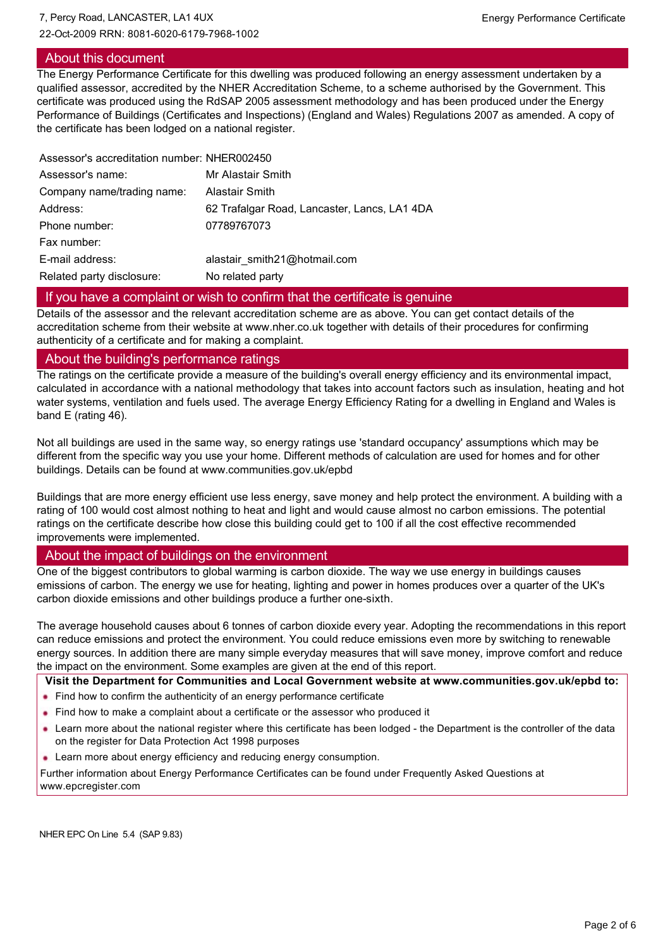# About this document

The Energy Performance Certificate for this dwelling was produced following an energy assessment undertaken by a qualified assessor, accredited by the NHER Accreditation Scheme, to a scheme authorised by the Government. This certificate was produced using the RdSAP 2005 assessment methodology and has been produced under the Energy Performance of Buildings (Certificates and Inspections) (England and Wales) Regulations 2007 as amended. A copy of the certificate has been lodged on a national register.

| Assessor's accreditation number: NHER002450 |                                              |
|---------------------------------------------|----------------------------------------------|
| Assessor's name:                            | Mr Alastair Smith                            |
| Company name/trading name:                  | Alastair Smith                               |
| Address:                                    | 62 Trafalgar Road, Lancaster, Lancs, LA1 4DA |
| Phone number:                               | 07789767073                                  |
| Fax number:                                 |                                              |
| E-mail address:                             | alastair smith21@hotmail.com                 |
| Related party disclosure:                   | No related party                             |

### If you have a complaint or wish to confirm that the certificate is genuine

Details of the assessor and the relevant accreditation scheme are as above. You can get contact details of the accreditation scheme from their website at www.nher.co.uk together with details of their procedures for confirming authenticity of a certificate and for making a complaint.

### About the building's performance ratings

The ratings on the certificate provide a measure of the building's overall energy efficiency and its environmental impact, calculated in accordance with a national methodology that takes into account factors such as insulation, heating and hot water systems, ventilation and fuels used. The average Energy Efficiency Rating for a dwelling in England and Wales is band E (rating 46).

Not all buildings are used in the same way, so energy ratings use 'standard occupancy' assumptions which may be different from the specific way you use your home. Different methods of calculation are used for homes and for other buildings. Details can be found at www.communities.gov.uk/epbd

Buildings that are more energy efficient use less energy, save money and help protect the environment. A building with a rating of 100 would cost almost nothing to heat and light and would cause almost no carbon emissions. The potential ratings on the certificate describe how close this building could get to 100 if all the cost effective recommended improvements were implemented.

# About the impact of buildings on the environment

One of the biggest contributors to global warming is carbon dioxide. The way we use energy in buildings causes emissions of carbon. The energy we use for heating, lighting and power in homes produces over a quarter of the UK's carbon dioxide emissions and other buildings produce a further onesixth.

The average household causes about 6 tonnes of carbon dioxide every year. Adopting the recommendations in this report can reduce emissions and protect the environment. You could reduce emissions even more by switching to renewable energy sources. In addition there are many simple everyday measures that will save money, improve comfort and reduce the impact on the environment. Some examples are given at the end of this report.

**Visit the Department for Communities and Local Government website at www.communities.gov.uk/epbd to:**

- Find how to confirm the authenticity of an energy performance certificate
- Find how to make a complaint about a certificate or the assessor who produced it
- Learn more about the national register where this certificate has been lodged the Department is the controller of the data on the register for Data Protection Act 1998 purposes
- **Learn more about energy efficiency and reducing energy consumption.**

Further information about Energy Performance Certificates can be found under Frequently Asked Questions at www.epcregister.com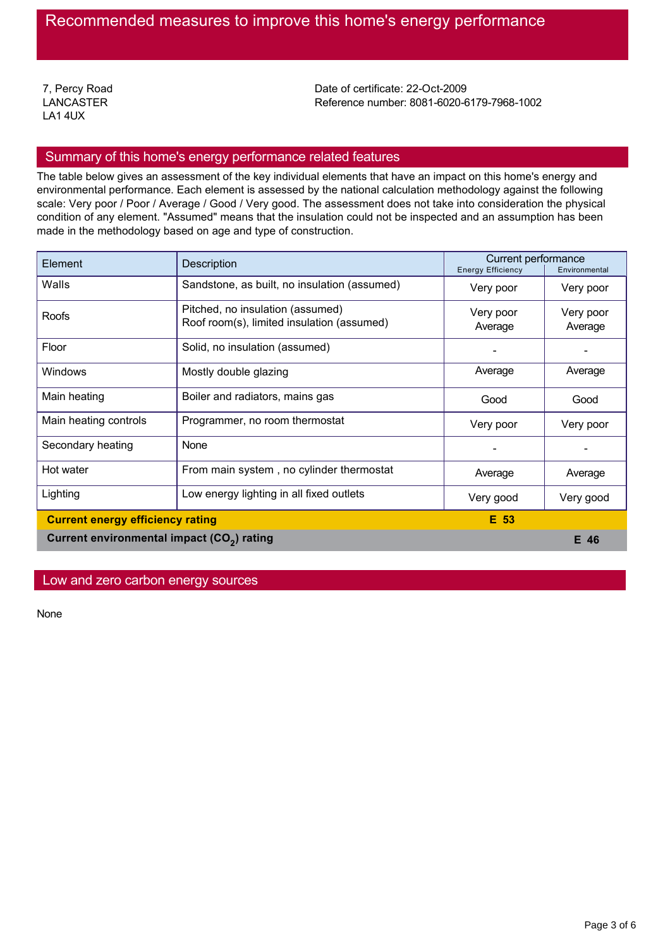7, Percy Road LANCASTER LA1 4UX

Date of certificate: 22-Oct-2009 Reference number: 8081-6020-6179-7968-1002

# Summary of this home's energy performance related features

The table below gives an assessment of the key individual elements that have an impact on this home's energy and environmental performance. Each element is assessed by the national calculation methodology against the following scale: Very poor / Poor / Average / Good / Very good. The assessment does not take into consideration the physical condition of any element. "Assumed" means that the insulation could not be inspected and an assumption has been made in the methodology based on age and type of construction.

| Element                                                | Description                                                                    | Current performance<br><b>Energy Efficiency</b> | Environmental        |
|--------------------------------------------------------|--------------------------------------------------------------------------------|-------------------------------------------------|----------------------|
| Walls                                                  | Sandstone, as built, no insulation (assumed)                                   | Very poor                                       | Very poor            |
| Roofs                                                  | Pitched, no insulation (assumed)<br>Roof room(s), limited insulation (assumed) | Very poor<br>Average                            | Very poor<br>Average |
| Floor                                                  | Solid, no insulation (assumed)                                                 |                                                 |                      |
| Windows                                                | Mostly double glazing                                                          | Average                                         | Average              |
| Main heating                                           | Boiler and radiators, mains gas                                                | Good                                            | Good                 |
| Main heating controls                                  | Programmer, no room thermostat                                                 | Very poor                                       | Very poor            |
| Secondary heating                                      | None                                                                           |                                                 |                      |
| Hot water                                              | From main system, no cylinder thermostat                                       | Average                                         | Average              |
| Lighting                                               | Low energy lighting in all fixed outlets                                       | Very good                                       | Very good            |
| <b>Current energy efficiency rating</b>                |                                                                                | E 53                                            |                      |
| Current environmental impact (CO <sub>2</sub> ) rating |                                                                                |                                                 | E 46                 |

Low and zero carbon energy sources

None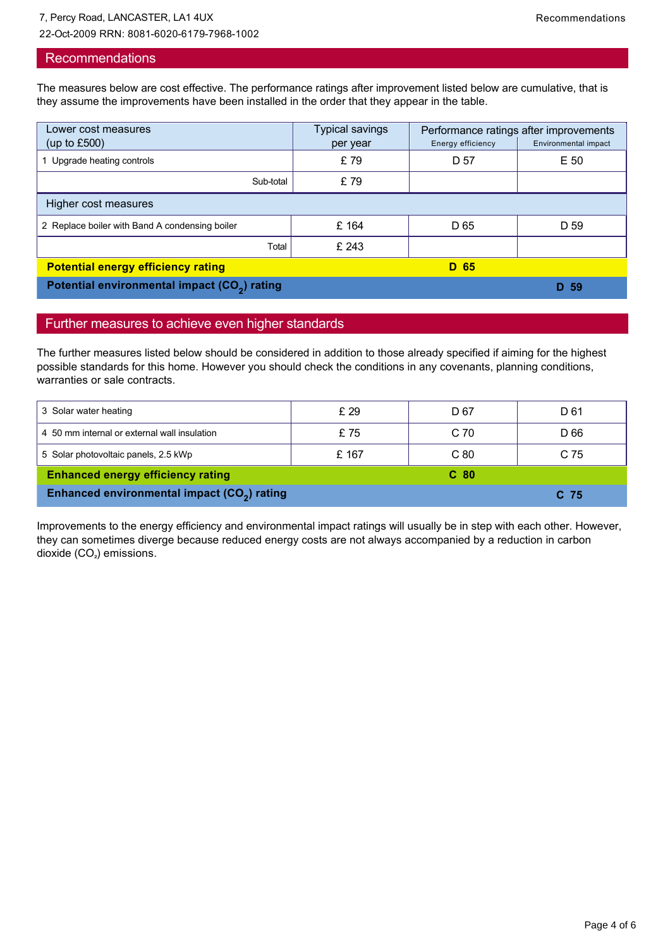# Recommendations

The measures below are cost effective. The performance ratings after improvement listed below are cumulative, that is they assume the improvements have been installed in the order that they appear in the table.

| Lower cost measures                                      | Typical savings | Performance ratings after improvements |                      |  |
|----------------------------------------------------------|-----------------|----------------------------------------|----------------------|--|
| (up to $£500$ )                                          | per year        | Energy efficiency                      | Environmental impact |  |
| Upgrade heating controls                                 | £79             | D 57                                   | E 50                 |  |
| Sub-total                                                | £79             |                                        |                      |  |
| Higher cost measures                                     |                 |                                        |                      |  |
| 2 Replace boiler with Band A condensing boiler           | £ 164           | D 65                                   | D 59                 |  |
| Total                                                    | £ 243           |                                        |                      |  |
| <b>Potential energy efficiency rating</b>                |                 | D 65                                   |                      |  |
| Potential environmental impact (CO <sub>2</sub> ) rating |                 |                                        | D 59                 |  |

# Further measures to achieve even higher standards

The further measures listed below should be considered in addition to those already specified if aiming for the highest possible standards for this home. However you should check the conditions in any covenants, planning conditions, warranties or sale contracts.

| 3 Solar water heating                                   | £ 29  | D 67            | D 61 |
|---------------------------------------------------------|-------|-----------------|------|
| 4 50 mm internal or external wall insulation            | £75   | C <sub>70</sub> | D 66 |
| 5 Solar photovoltaic panels, 2.5 kWp                    | £ 167 | C80             | C 75 |
| <b>Enhanced energy efficiency rating</b>                |       | C <sub>80</sub> |      |
| Enhanced environmental impact (CO <sub>2</sub> ) rating |       |                 | C 75 |

Improvements to the energy efficiency and environmental impact ratings will usually be in step with each other. However, they can sometimes diverge because reduced energy costs are not always accompanied by a reduction in carbon dioxide  $(CO<sub>2</sub>)$  emissions.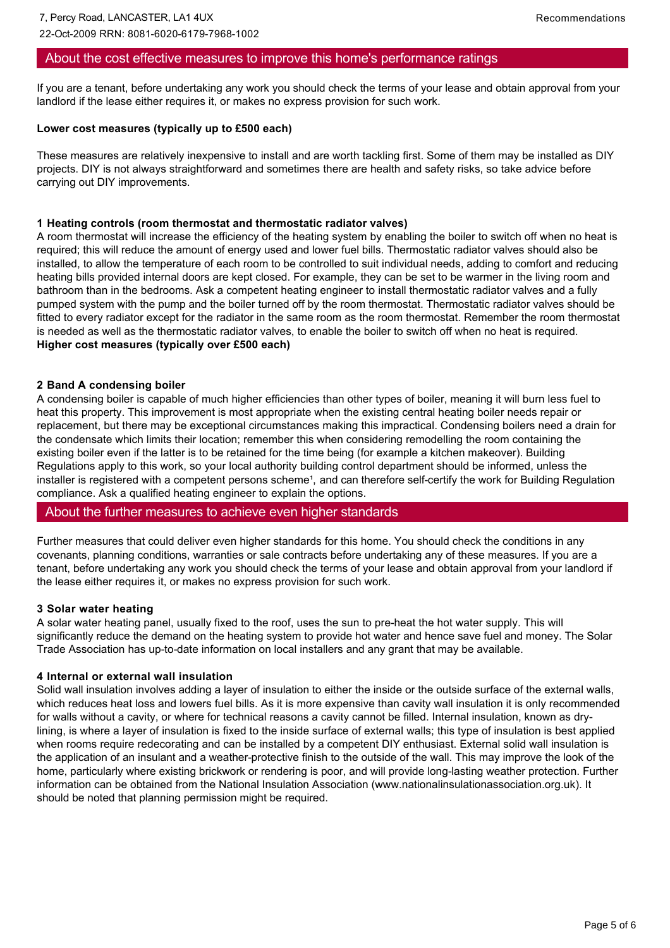# About the cost effective measures to improve this home's performance ratings

If you are a tenant, before undertaking any work you should check the terms of your lease and obtain approval from your landlord if the lease either requires it, or makes no express provision for such work.

#### **Lower cost measures (typically up to £500 each)**

These measures are relatively inexpensive to install and are worth tackling first. Some of them may be installed as DIY projects. DIY is not always straightforward and sometimes there are health and safety risks, so take advice before carrying out DIY improvements.

#### **1 Heating controls (room thermostat and thermostatic radiator valves)**

**Higher cost measures (typically over £500 each)** A room thermostat will increase the efficiency of the heating system by enabling the boiler to switch off when no heat is required; this will reduce the amount of energy used and lower fuel bills. Thermostatic radiator valves should also be installed, to allow the temperature of each room to be controlled to suit individual needs, adding to comfort and reducing heating bills provided internal doors are kept closed. For example, they can be set to be warmer in the living room and bathroom than in the bedrooms. Ask a competent heating engineer to install thermostatic radiator valves and a fully pumped system with the pump and the boiler turned off by the room thermostat. Thermostatic radiator valves should be fitted to every radiator except for the radiator in the same room as the room thermostat. Remember the room thermostat is needed as well as the thermostatic radiator valves, to enable the boiler to switch off when no heat is required.

#### **2 Band A condensing boiler**

A condensing boiler is capable of much higher efficiencies than other types of boiler, meaning it will burn less fuel to heat this property. This improvement is most appropriate when the existing central heating boiler needs repair or replacement, but there may be exceptional circumstances making this impractical. Condensing boilers need a drain for the condensate which limits their location; remember this when considering remodelling the room containing the existing boiler even if the latter is to be retained for the time being (for example a kitchen makeover). Building Regulations apply to this work, so your local authority building control department should be informed, unless the installer is registered with a competent persons scheme<sup>1</sup>, and can therefore self-certify the work for Building Regulation compliance. Ask a qualified heating engineer to explain the options.

#### About the further measures to achieve even higher standards

Further measures that could deliver even higher standards for this home. You should check the conditions in any covenants, planning conditions, warranties or sale contracts before undertaking any of these measures. If you are a tenant, before undertaking any work you should check the terms of your lease and obtain approval from your landlord if the lease either requires it, or makes no express provision for such work.

#### **3 Solar water heating**

A solar water heating panel, usually fixed to the roof, uses the sun to preheat the hot water supply. This will significantly reduce the demand on the heating system to provide hot water and hence save fuel and money. The Solar Trade Association has up-to-date information on local installers and any grant that may be available.

#### **4 Internal or external wall insulation**

Solid wall insulation involves adding a layer of insulation to either the inside or the outside surface of the external walls, which reduces heat loss and lowers fuel bills. As it is more expensive than cavity wall insulation it is only recommended for walls without a cavity, or where for technical reasons a cavity cannot be filled. Internal insulation, known as drylining, is where a layer of insulation is fixed to the inside surface of external walls; this type of insulation is best applied when rooms require redecorating and can be installed by a competent DIY enthusiast. External solid wall insulation is the application of an insulant and a weather-protective finish to the outside of the wall. This may improve the look of the home, particularly where existing brickwork or rendering is poor, and will provide long-lasting weather protection. Further information can be obtained from the National Insulation Association (www.nationalinsulationassociation.org.uk). It should be noted that planning permission might be required.